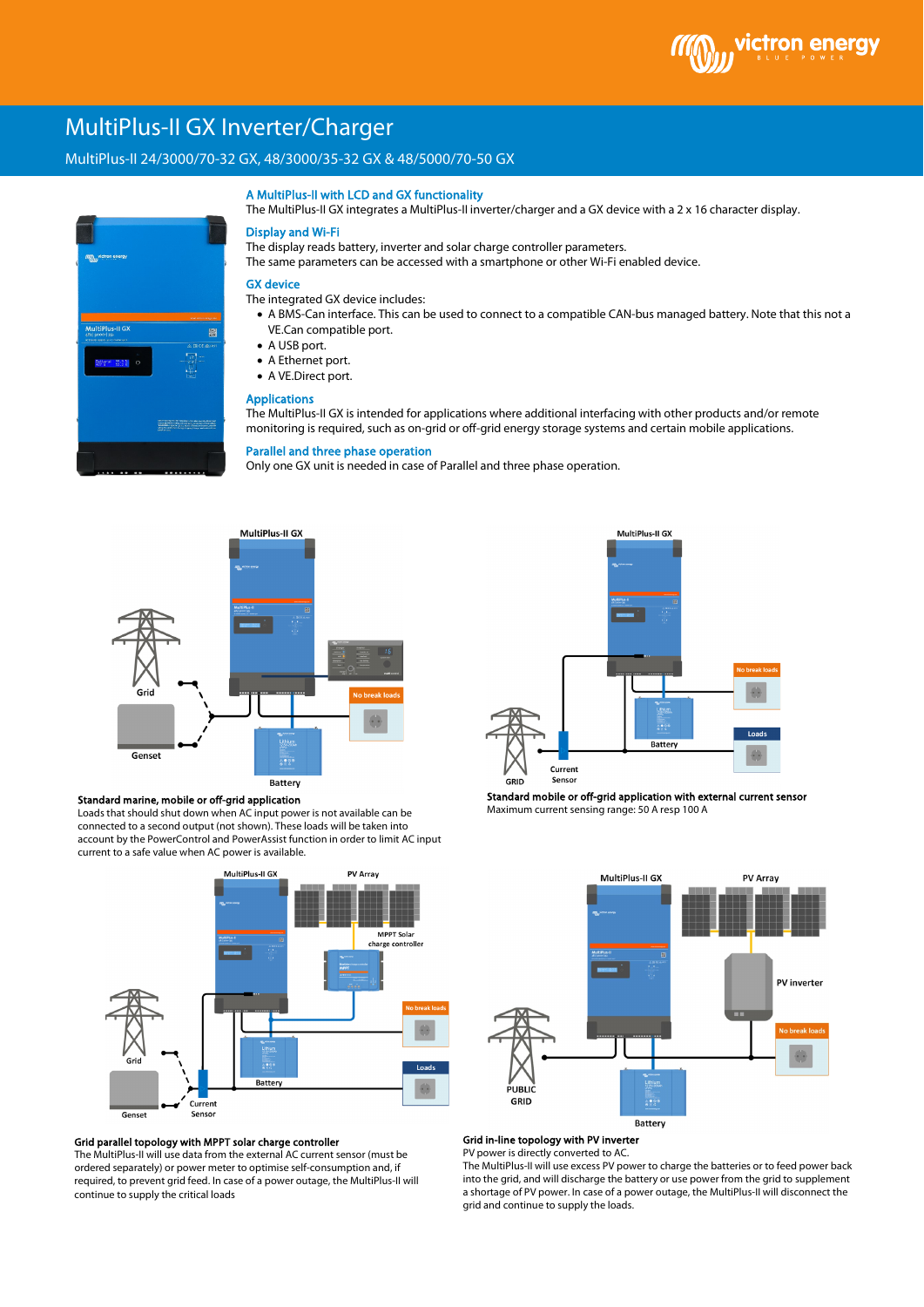

# MultiPlus-II GX Inverter/Charger

# \ MultiPlus-II 24/3000/70-32 GX, 48/3000/35-32 GX & 48/5000/70-50 GX



#### A MultiPlus-II with LCD and GX functionality

The MultiPlus-II GX integrates a MultiPlus-II inverter/charger and a GX device with a 2 x 16 character display.

# Display and Wi-Fi

The display reads battery, inverter and solar charge controller parameters. The same parameters can be accessed with a smartphone or other Wi-Fi enabled device.

# GX device

The integrated GX device includes:

- A BMS-Can interface. This can be used to connect to a compatible CAN-bus managed battery. Note that this not a VE.Can compatible port.
- A USB port.
- A Ethernet port.
- A VE.Direct port.

# Applications

The MultiPlus-II GX is intended for applications where additional interfacing with other products and/or remote monitoring is required, such as on-grid or off-grid energy storage systems and certain mobile applications.

# Parallel and three phase operation

Only one GX unit is needed in case of Parallel and three phase operation.



#### Standard marine, mobile or off-grid application

Loads that should shut down when AC input power is not available can be connected to a second output (not shown). These loads will be taken into account by the PowerControl and PowerAssist function in order to limit AC input current to a safe value when AC power is available.



#### Grid parallel topology with MPPT solar charge controller

The MultiPlus-II will use data from the external AC current sensor (must be ordered separately) or power meter to optimise self-consumption and, if required, to prevent grid feed. In case of a power outage, the MultiPlus-II will continue to supply the critical loads



Standard mobile or off-grid application with external current sensor Maximum current sensing range: 50 A resp 100 A



# Grid in-line topology with PV inverter

PV power is directly converted to AC

The MultiPlus-II will use excess PV power to charge the batteries or to feed power back into the grid, and will discharge the battery or use power from the grid to supplement a shortage of PV power. In case of a power outage, the MultiPlus-II will disconnect the grid and continue to supply the loads.